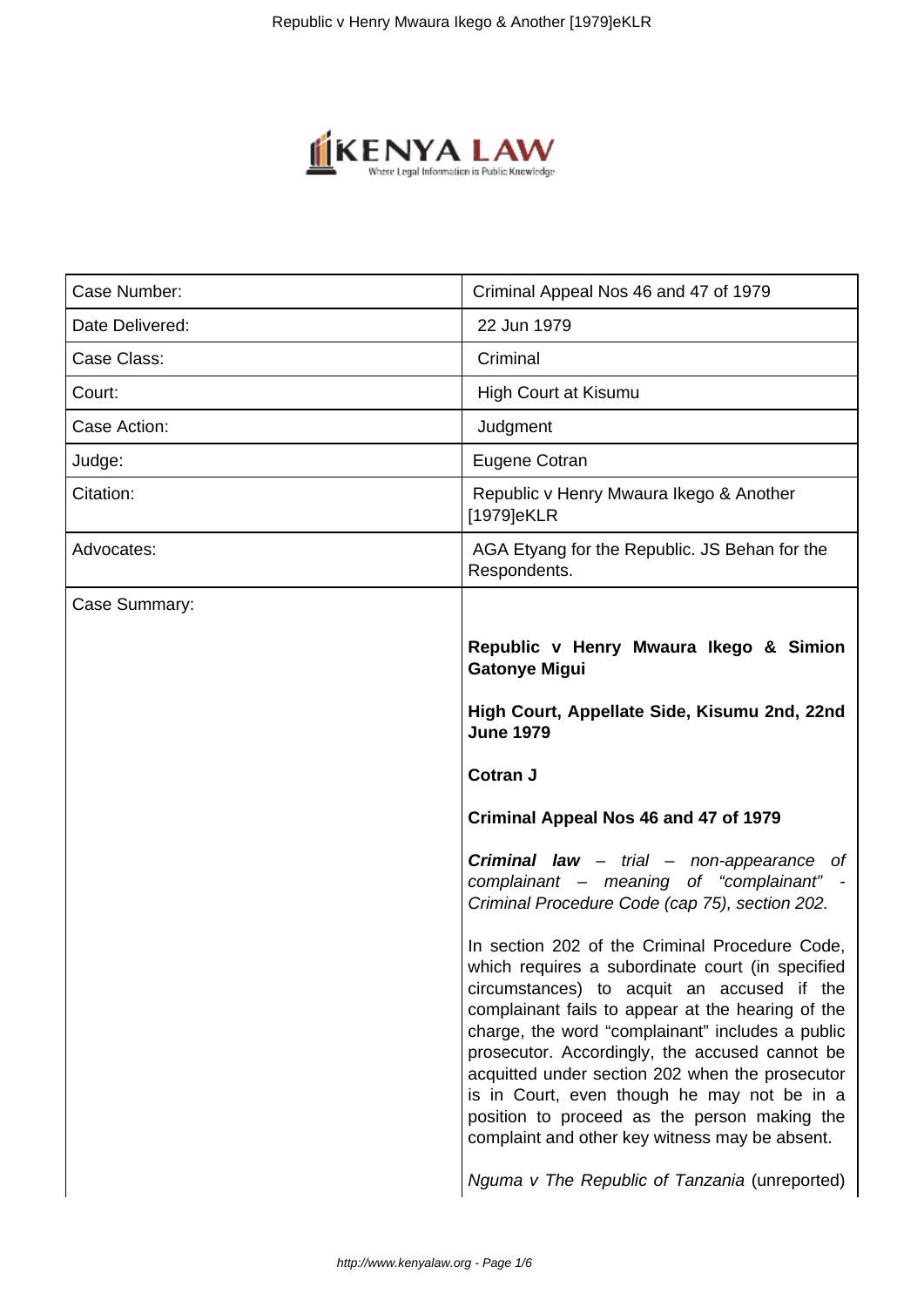

| Case Number:    | Criminal Appeal Nos 46 and 47 of 1979                                                                                                                                                                                                                                                                                                                                                                                                                                                                           |
|-----------------|-----------------------------------------------------------------------------------------------------------------------------------------------------------------------------------------------------------------------------------------------------------------------------------------------------------------------------------------------------------------------------------------------------------------------------------------------------------------------------------------------------------------|
| Date Delivered: | 22 Jun 1979                                                                                                                                                                                                                                                                                                                                                                                                                                                                                                     |
| Case Class:     | Criminal                                                                                                                                                                                                                                                                                                                                                                                                                                                                                                        |
| Court:          | <b>High Court at Kisumu</b>                                                                                                                                                                                                                                                                                                                                                                                                                                                                                     |
| Case Action:    | Judgment                                                                                                                                                                                                                                                                                                                                                                                                                                                                                                        |
| Judge:          | Eugene Cotran                                                                                                                                                                                                                                                                                                                                                                                                                                                                                                   |
| Citation:       | Republic v Henry Mwaura Ikego & Another<br>[1979]eKLR                                                                                                                                                                                                                                                                                                                                                                                                                                                           |
| Advocates:      | AGA Etyang for the Republic. JS Behan for the<br>Respondents.                                                                                                                                                                                                                                                                                                                                                                                                                                                   |
| Case Summary:   |                                                                                                                                                                                                                                                                                                                                                                                                                                                                                                                 |
|                 | Republic v Henry Mwaura Ikego & Simion<br><b>Gatonye Migui</b>                                                                                                                                                                                                                                                                                                                                                                                                                                                  |
|                 | High Court, Appellate Side, Kisumu 2nd, 22nd<br><b>June 1979</b>                                                                                                                                                                                                                                                                                                                                                                                                                                                |
|                 | <b>Cotran J</b>                                                                                                                                                                                                                                                                                                                                                                                                                                                                                                 |
|                 | Criminal Appeal Nos 46 and 47 of 1979                                                                                                                                                                                                                                                                                                                                                                                                                                                                           |
|                 | Criminal law - trial - non-appearance of<br>complainant - meaning of "complainant"<br>Criminal Procedure Code (cap 75), section 202.                                                                                                                                                                                                                                                                                                                                                                            |
|                 | In section 202 of the Criminal Procedure Code,<br>which requires a subordinate court (in specified<br>circumstances) to acquit an accused if the<br>complainant fails to appear at the hearing of the<br>charge, the word "complainant" includes a public<br>prosecutor. Accordingly, the accused cannot be<br>acquitted under section 202 when the prosecutor<br>is in Court, even though he may not be in a<br>position to proceed as the person making the<br>complaint and other key witness may be absent. |
|                 | Nguma v The Republic of Tanzania (unreported)                                                                                                                                                                                                                                                                                                                                                                                                                                                                   |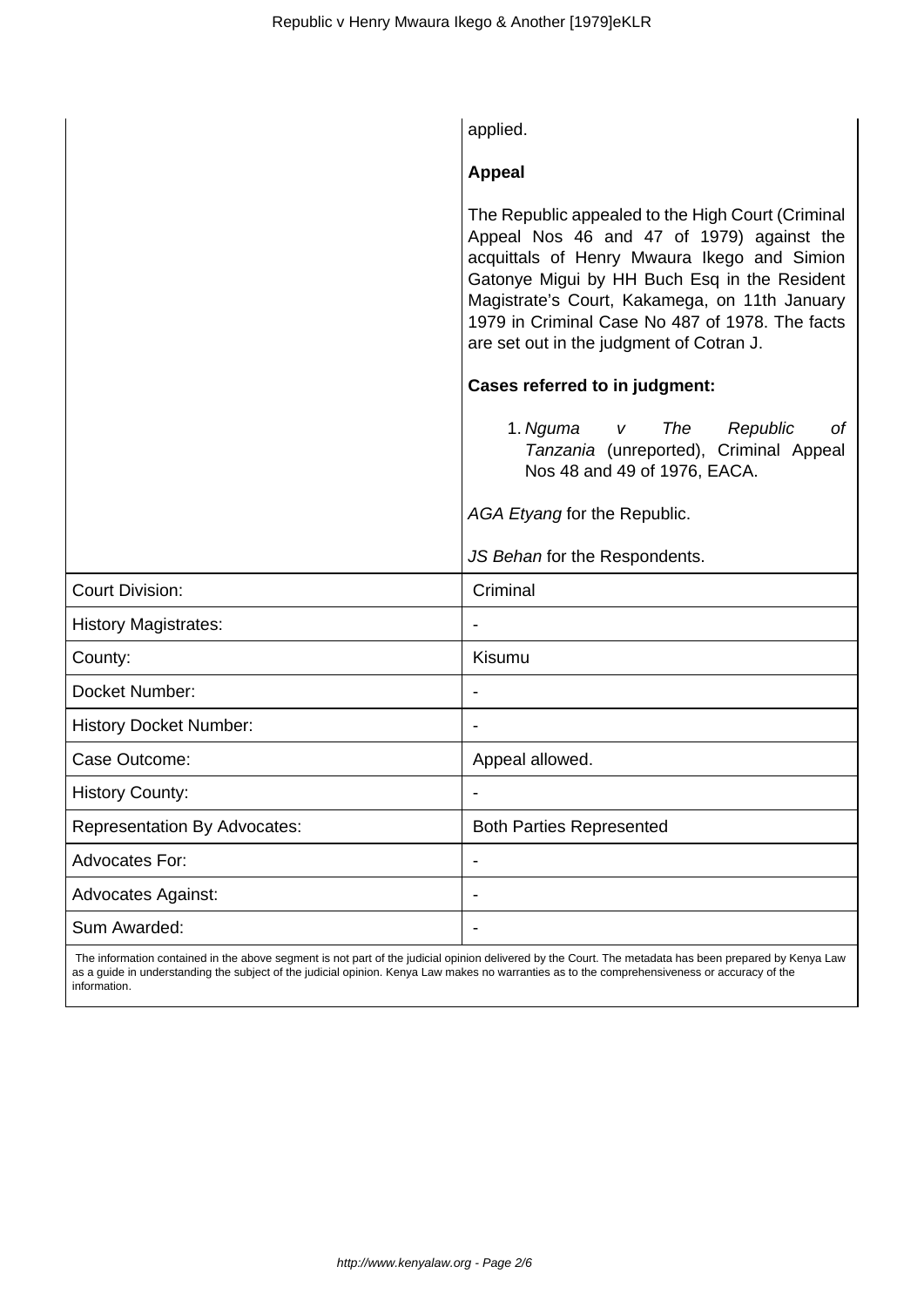|                                     | applied.                                                                                                                                                                                                                                                                                                                                      |
|-------------------------------------|-----------------------------------------------------------------------------------------------------------------------------------------------------------------------------------------------------------------------------------------------------------------------------------------------------------------------------------------------|
|                                     | <b>Appeal</b>                                                                                                                                                                                                                                                                                                                                 |
|                                     | The Republic appealed to the High Court (Criminal<br>Appeal Nos 46 and 47 of 1979) against the<br>acquittals of Henry Mwaura Ikego and Simion<br>Gatonye Migui by HH Buch Esq in the Resident<br>Magistrate's Court, Kakamega, on 11th January<br>1979 in Criminal Case No 487 of 1978. The facts<br>are set out in the judgment of Cotran J. |
|                                     | <b>Cases referred to in judgment:</b>                                                                                                                                                                                                                                                                                                         |
|                                     | 1. Nguma v<br><b>The</b><br>Republic<br>οf<br>Tanzania (unreported), Criminal Appeal<br>Nos 48 and 49 of 1976, EACA.                                                                                                                                                                                                                          |
|                                     | AGA Etyang for the Republic.                                                                                                                                                                                                                                                                                                                  |
|                                     | JS Behan for the Respondents.                                                                                                                                                                                                                                                                                                                 |
| <b>Court Division:</b>              | Criminal                                                                                                                                                                                                                                                                                                                                      |
| <b>History Magistrates:</b>         |                                                                                                                                                                                                                                                                                                                                               |
| County:                             | Kisumu                                                                                                                                                                                                                                                                                                                                        |
| Docket Number:                      |                                                                                                                                                                                                                                                                                                                                               |
| <b>History Docket Number:</b>       | $\overline{\phantom{a}}$                                                                                                                                                                                                                                                                                                                      |
| Case Outcome:                       | Appeal allowed.                                                                                                                                                                                                                                                                                                                               |
| <b>History County:</b>              |                                                                                                                                                                                                                                                                                                                                               |
| <b>Representation By Advocates:</b> | <b>Both Parties Represented</b>                                                                                                                                                                                                                                                                                                               |
| <b>Advocates For:</b>               |                                                                                                                                                                                                                                                                                                                                               |
| <b>Advocates Against:</b>           | $\overline{\phantom{a}}$                                                                                                                                                                                                                                                                                                                      |
| Sum Awarded:                        | $\overline{\phantom{a}}$                                                                                                                                                                                                                                                                                                                      |

 The information contained in the above segment is not part of the judicial opinion delivered by the Court. The metadata has been prepared by Kenya Law as a guide in understanding the subject of the judicial opinion. Kenya Law makes no warranties as to the comprehensiveness or accuracy of the information.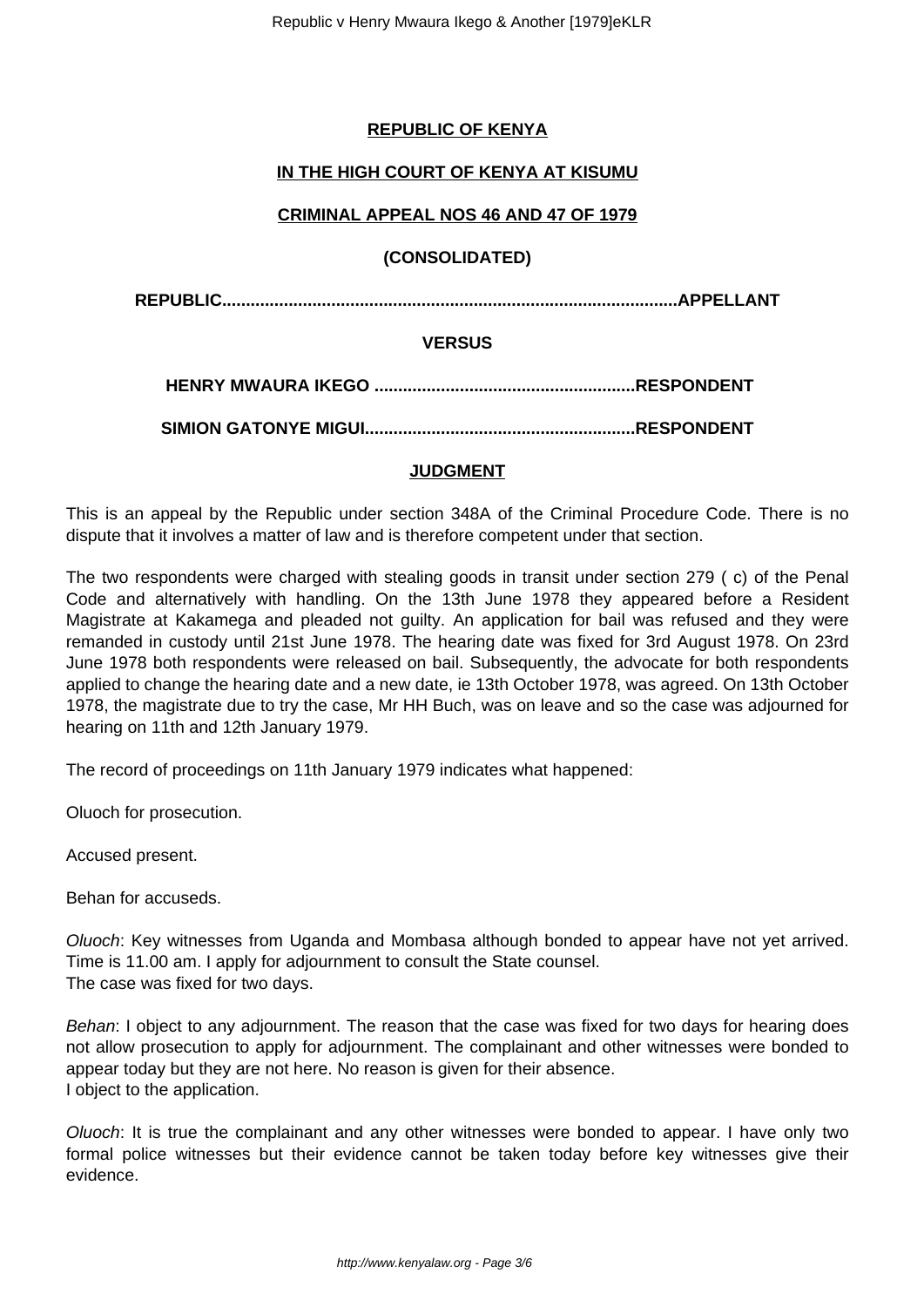# **REPUBLIC OF KENYA**

# **IN THE HIGH COURT OF KENYA AT KISUMU**

## **CRIMINAL APPEAL NOS 46 AND 47 OF 1979**

### **(CONSOLIDATED)**

**REPUBLIC................................................................................................APPELLANT**

### **VERSUS**

**HENRY MWAURA IKEGO .......................................................RESPONDENT**

**SIMION GATONYE MIGUI.........................................................RESPONDENT**

### **JUDGMENT**

This is an appeal by the Republic under section 348A of the Criminal Procedure Code. There is no dispute that it involves a matter of law and is therefore competent under that section.

The two respondents were charged with stealing goods in transit under section 279 ( c) of the Penal Code and alternatively with handling. On the 13th June 1978 they appeared before a Resident Magistrate at Kakamega and pleaded not guilty. An application for bail was refused and they were remanded in custody until 21st June 1978. The hearing date was fixed for 3rd August 1978. On 23rd June 1978 both respondents were released on bail. Subsequently, the advocate for both respondents applied to change the hearing date and a new date, ie 13th October 1978, was agreed. On 13th October 1978, the magistrate due to try the case, Mr HH Buch, was on leave and so the case was adjourned for hearing on 11th and 12th January 1979.

The record of proceedings on 11th January 1979 indicates what happened:

Oluoch for prosecution.

Accused present.

Behan for accuseds.

Oluoch: Key witnesses from Uganda and Mombasa although bonded to appear have not yet arrived. Time is 11.00 am. I apply for adjournment to consult the State counsel. The case was fixed for two days.

Behan: I object to any adjournment. The reason that the case was fixed for two days for hearing does not allow prosecution to apply for adjournment. The complainant and other witnesses were bonded to appear today but they are not here. No reason is given for their absence. I object to the application.

Oluoch: It is true the complainant and any other witnesses were bonded to appear. I have only two formal police witnesses but their evidence cannot be taken today before key witnesses give their evidence.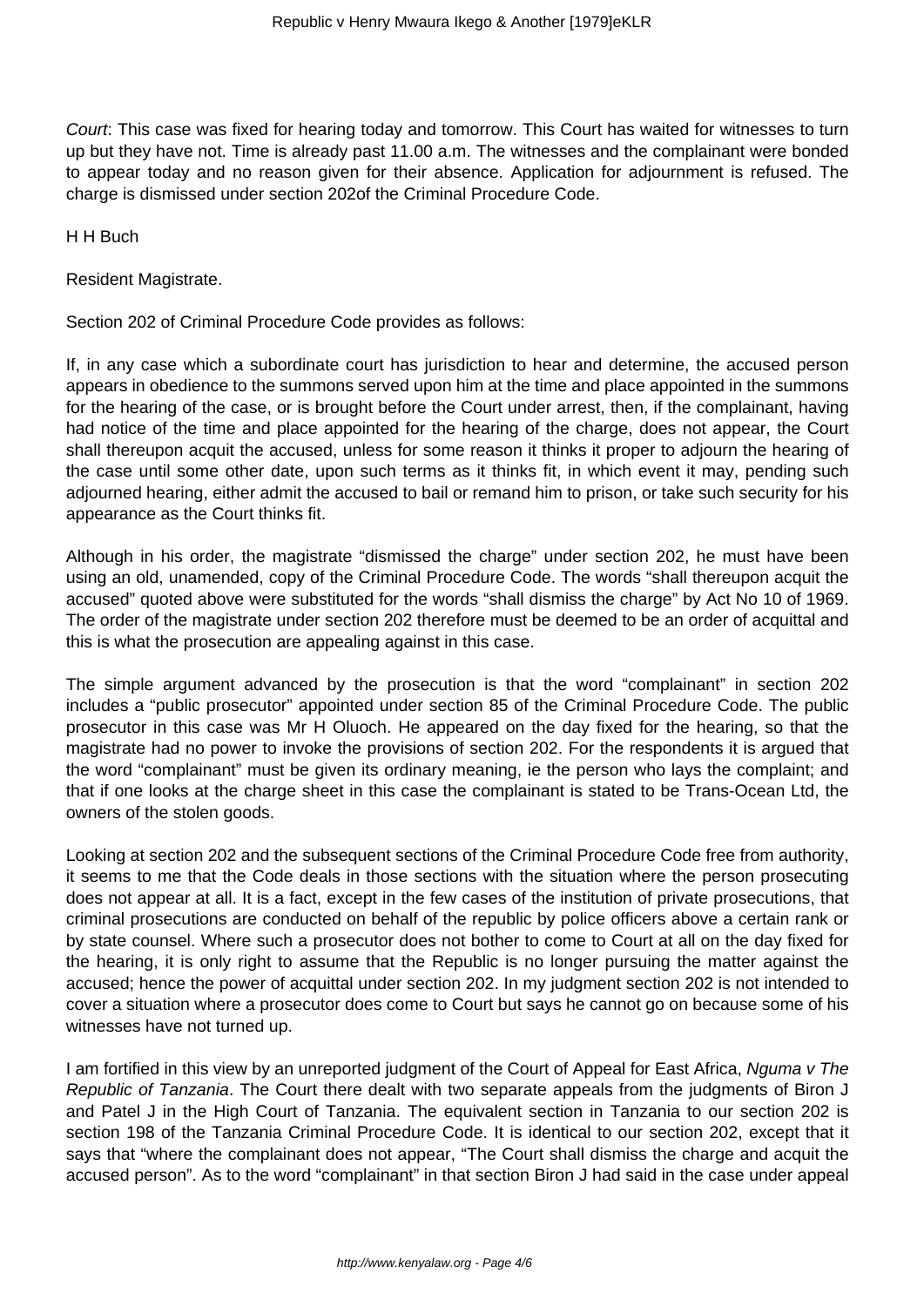Court: This case was fixed for hearing today and tomorrow. This Court has waited for witnesses to turn up but they have not. Time is already past 11.00 a.m. The witnesses and the complainant were bonded to appear today and no reason given for their absence. Application for adjournment is refused. The charge is dismissed under section 202of the Criminal Procedure Code.

H H Buch

Resident Magistrate.

Section 202 of Criminal Procedure Code provides as follows:

If, in any case which a subordinate court has jurisdiction to hear and determine, the accused person appears in obedience to the summons served upon him at the time and place appointed in the summons for the hearing of the case, or is brought before the Court under arrest, then, if the complainant, having had notice of the time and place appointed for the hearing of the charge, does not appear, the Court shall thereupon acquit the accused, unless for some reason it thinks it proper to adjourn the hearing of the case until some other date, upon such terms as it thinks fit, in which event it may, pending such adjourned hearing, either admit the accused to bail or remand him to prison, or take such security for his appearance as the Court thinks fit.

Although in his order, the magistrate "dismissed the charge" under section 202, he must have been using an old, unamended, copy of the Criminal Procedure Code. The words "shall thereupon acquit the accused" quoted above were substituted for the words "shall dismiss the charge" by Act No 10 of 1969. The order of the magistrate under section 202 therefore must be deemed to be an order of acquittal and this is what the prosecution are appealing against in this case.

The simple argument advanced by the prosecution is that the word "complainant" in section 202 includes a "public prosecutor" appointed under section 85 of the Criminal Procedure Code. The public prosecutor in this case was Mr H Oluoch. He appeared on the day fixed for the hearing, so that the magistrate had no power to invoke the provisions of section 202. For the respondents it is argued that the word "complainant" must be given its ordinary meaning, ie the person who lays the complaint; and that if one looks at the charge sheet in this case the complainant is stated to be Trans-Ocean Ltd, the owners of the stolen goods.

Looking at section 202 and the subsequent sections of the Criminal Procedure Code free from authority, it seems to me that the Code deals in those sections with the situation where the person prosecuting does not appear at all. It is a fact, except in the few cases of the institution of private prosecutions, that criminal prosecutions are conducted on behalf of the republic by police officers above a certain rank or by state counsel. Where such a prosecutor does not bother to come to Court at all on the day fixed for the hearing, it is only right to assume that the Republic is no longer pursuing the matter against the accused; hence the power of acquittal under section 202. In my judgment section 202 is not intended to cover a situation where a prosecutor does come to Court but says he cannot go on because some of his witnesses have not turned up.

I am fortified in this view by an unreported judgment of the Court of Appeal for East Africa, Nguma v The Republic of Tanzania. The Court there dealt with two separate appeals from the judgments of Biron J and Patel J in the High Court of Tanzania. The equivalent section in Tanzania to our section 202 is section 198 of the Tanzania Criminal Procedure Code. It is identical to our section 202, except that it says that "where the complainant does not appear, "The Court shall dismiss the charge and acquit the accused person". As to the word "complainant" in that section Biron J had said in the case under appeal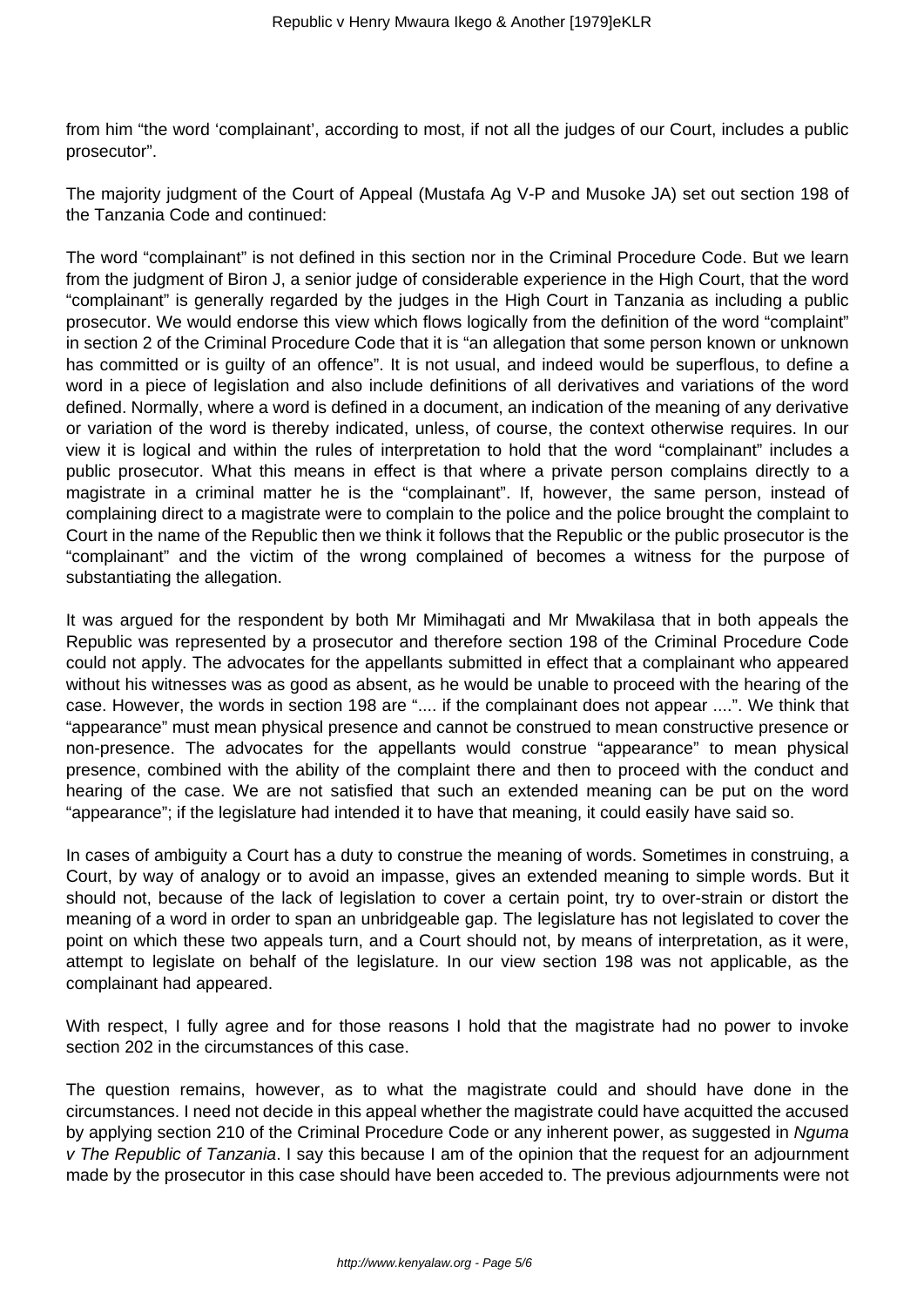from him "the word 'complainant', according to most, if not all the judges of our Court, includes a public prosecutor".

The majority judgment of the Court of Appeal (Mustafa Ag V-P and Musoke JA) set out section 198 of the Tanzania Code and continued:

The word "complainant" is not defined in this section nor in the Criminal Procedure Code. But we learn from the judgment of Biron J, a senior judge of considerable experience in the High Court, that the word "complainant" is generally regarded by the judges in the High Court in Tanzania as including a public prosecutor. We would endorse this view which flows logically from the definition of the word "complaint" in section 2 of the Criminal Procedure Code that it is "an allegation that some person known or unknown has committed or is guilty of an offence". It is not usual, and indeed would be superflous, to define a word in a piece of legislation and also include definitions of all derivatives and variations of the word defined. Normally, where a word is defined in a document, an indication of the meaning of any derivative or variation of the word is thereby indicated, unless, of course, the context otherwise requires. In our view it is logical and within the rules of interpretation to hold that the word "complainant" includes a public prosecutor. What this means in effect is that where a private person complains directly to a magistrate in a criminal matter he is the "complainant". If, however, the same person, instead of complaining direct to a magistrate were to complain to the police and the police brought the complaint to Court in the name of the Republic then we think it follows that the Republic or the public prosecutor is the "complainant" and the victim of the wrong complained of becomes a witness for the purpose of substantiating the allegation.

It was argued for the respondent by both Mr Mimihagati and Mr Mwakilasa that in both appeals the Republic was represented by a prosecutor and therefore section 198 of the Criminal Procedure Code could not apply. The advocates for the appellants submitted in effect that a complainant who appeared without his witnesses was as good as absent, as he would be unable to proceed with the hearing of the case. However, the words in section 198 are ".... if the complainant does not appear ....". We think that "appearance" must mean physical presence and cannot be construed to mean constructive presence or non-presence. The advocates for the appellants would construe "appearance" to mean physical presence, combined with the ability of the complaint there and then to proceed with the conduct and hearing of the case. We are not satisfied that such an extended meaning can be put on the word "appearance"; if the legislature had intended it to have that meaning, it could easily have said so.

In cases of ambiguity a Court has a duty to construe the meaning of words. Sometimes in construing, a Court, by way of analogy or to avoid an impasse, gives an extended meaning to simple words. But it should not, because of the lack of legislation to cover a certain point, try to over-strain or distort the meaning of a word in order to span an unbridgeable gap. The legislature has not legislated to cover the point on which these two appeals turn, and a Court should not, by means of interpretation, as it were, attempt to legislate on behalf of the legislature. In our view section 198 was not applicable, as the complainant had appeared.

With respect, I fully agree and for those reasons I hold that the magistrate had no power to invoke section 202 in the circumstances of this case.

The question remains, however, as to what the magistrate could and should have done in the circumstances. I need not decide in this appeal whether the magistrate could have acquitted the accused by applying section 210 of the Criminal Procedure Code or any inherent power, as suggested in Nguma v The Republic of Tanzania. I say this because I am of the opinion that the request for an adjournment made by the prosecutor in this case should have been acceded to. The previous adjournments were not